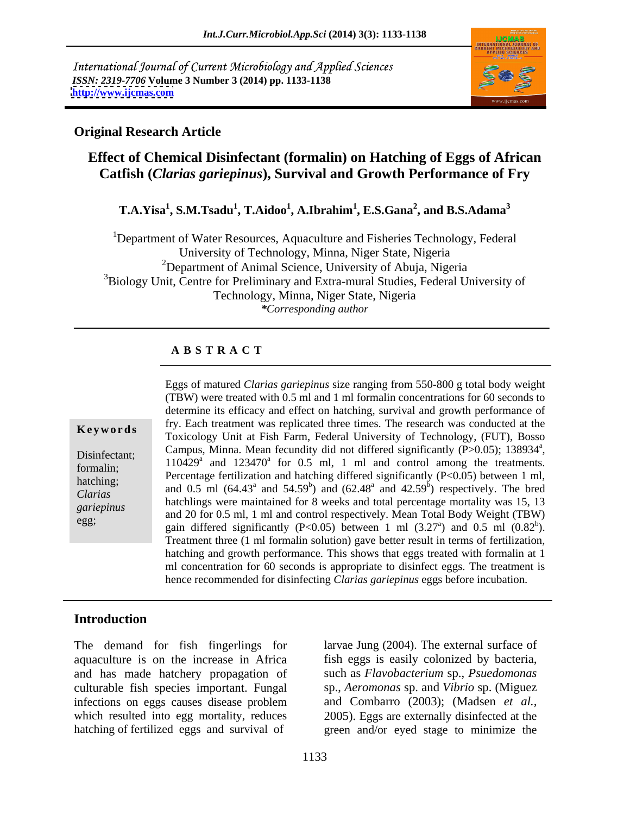International Journal of Current Microbiology and Applied Sciences *ISSN: 2319-7706* **Volume 3 Number 3 (2014) pp. 1133-1138 <http://www.ijcmas.com>**



### **Original Research Article**

# **Effect of Chemical Disinfectant (formalin) on Hatching of Eggs of African Catfish (***Clarias gariepinus***), Survival and Growth Performance of Fry**

### **T.A.Yisa<sup>1</sup> , S.M.Tsadu<sup>1</sup> , T.Aidoo<sup>1</sup> , A.Ibrahim<sup>1</sup> , E.S.Gana<sup>2</sup> , and B.S.Adama<sup>3</sup>**

<sup>1</sup>Department of Water Resources, Aquaculture and Fisheries Technology, Federal University of Technology, Minna, Niger State, Nigeria <sup>2</sup>Department of Animal Science, University of Abuja, Nigeria <sup>3</sup>Biology Unit, Centre for Preliminary and Extra-mural Studies, Federal University of Technology, Minna, Niger State, Nigeria *\*Corresponding author*

### **A B S T R A C T**

**Ke ywo rds** Toxicology Unit at Fish Farm, Federal University of Technology, (FUT), Bosso Disinfectant; Campus, Minna. Mean fecundity did not differed significantly (P>0.05); 138934<sup>a</sup>,<br>formalin:  $110429^a$  and  $123470^a$  for 0.5 ml, 1 ml and control among the treatments. formalin;  $P_1 = 110429$  and  $123470$  for 0.5 mm, 1 mm and control among the treatments.<br>
hatching: Percentage fertilization and hatching differed significantly (P<0.05) between 1 ml, hatching; and 0.5 ml  $(64.43^a$  and  $54.59^b)$  and  $(62.48^a$  and  $42.59^b)$  respectively. The bred *Clarias*<br>
hatchlings were maintained for 8 weeks and total percentage mortality was 15, 13 *gariepinus*<br>
and 20 for 0.5 ml, 1 ml and control respectively. Mean Total Body Weight (TBW) egg;<br>gain differed significantly  $(P<0.05)$  between 1 ml  $(3.27^a)$  and 0.5 ml  $(0.82^b)$ . Eggs of matured *Clarias gariepinus* size ranging from 550-800 g total body weight (TBW) were treated with 0.5 ml and 1 ml formalin concentrations for 60 seconds to determine its efficacy and effect on hatching, survival and growth performance of fry. Each treatment was replicated three times. The research was conducted at the Campus, Minna. Mean fecundity did not differed significantly (P>0.05); 138934<sup>a</sup>, a **a** a control of the control of the control of the control of the control of the control of the control of the control of the control of the control of the control of the control of the control of the control of the cont ) respectively. The bred ) and  $0.5$  ml  $(0.82^b)$ .  $b<sub>\lambda</sub>$ ). Treatment three (1 ml formalin solution) gave better result in terms of fertilization, hatching and growth performance. This shows that eggs treated with formalin at 1 ml concentration for 60 seconds is appropriate to disinfect eggs. The treatment is hence recommended for disinfecting *Clarias gariepinus* eggs before incubation.

## **Introduction**

culturable fish species important. Fungal

The demand for fish fingerlings for larvae Jung (2004). The external surface of aquaculture is on the increase in Africa fish eggs is easily colonized by bacteria, and has made hatchery propagation of such as *Flavobacterium* sp., *Psuedomonas* infections on eggs causes disease problem and Combarro (2003); (Madsen *et al.,* which resulted into egg mortality, reduces 2005). Eggs are externally disinfected at the hatching of fertilized eggs and survival of green and/or eyed stage to minimize the sp., *Aeromonas* sp. and *Vibrio* sp. (Miguez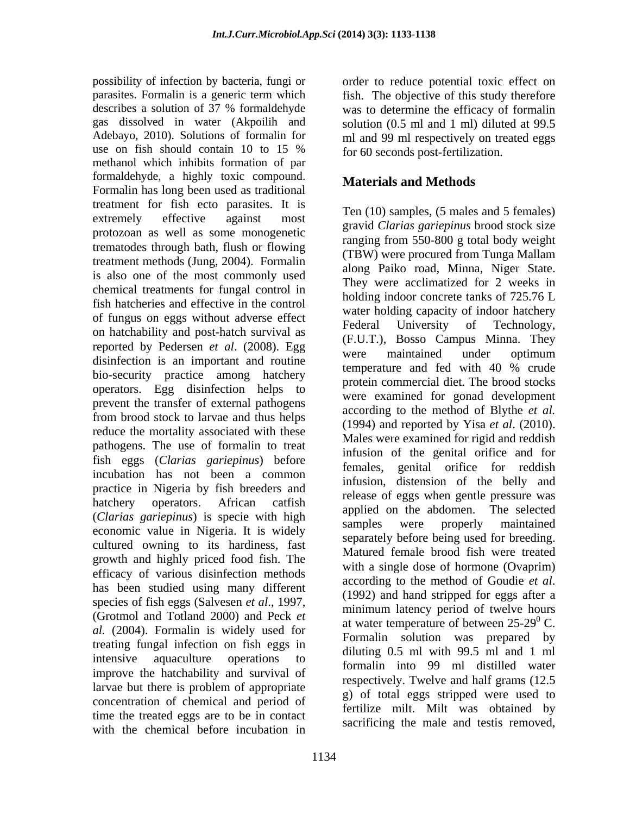possibility of infection by bacteria, fungi or order to reduce potential toxic effect on parasites. Formalin is a generic term which fish. The objective of this study therefore describes a solution of 37 % formaldehyde was to determine the efficacy of formalin gas dissolved in water (Akpoilih and solution (0.5 ml and 1 ml) diluted at 99.5 Adebayo, 2010). Solutions of formalin for ml and 99 ml respectively on treated eggs use on fish should contain 10 to 15  $\%$  for 60 seconds post-fertilization. methanol which inhibits formation of par formaldehyde, a highly toxic compound. Formalin has long been used as traditional treatment for fish ecto parasites. It is extremely effective against most  $\frac{1 \text{ cm}}{2 \text{ cm}}$   $\frac{1 \text{ cm}}{2 \text{ cm}}$   $\frac{1 \text{ cm}}{2 \text{ cm}}$   $\frac{1 \text{ cm}}{2 \text{ cm}}$   $\frac{1 \text{ cm}}{2 \text{ cm}}$ protozoan as well as some monogenetic trematodes through bath, flush or flowing treatment methods (Jung, 2004). Formalin is also one of the most commonly used chemical treatments for fungal control in fish hatcheries and effective in the control of fungus on eggs without adverse effect<br>
Federal University of Technology, on hatchability and post-hatch survival as reported by Pedersen *et al.* (2008). Egg vere maintained under optimum disinfection is an important and routine<br>temperature and fed with 40 % crude bio-security practice among hatchery operators. Egg disinfection helps to prevent the transfer of external pathogens from brood stock to larvae and thus helps reduce the mortality associated with these pathogens. The use of formalin to treat fish eggs (*Clarias gariepinus*) before incubation has not been a common practice in Nigeria by fish breeders and hatchery operators. African catfish have been the abdomen. The selected (*Clarias gariepinus*) is specie with high economic value in Nigeria. It is widely cultured owning to its hardiness, fast growth and highly priced food fish. The efficacy of various disinfection methods<br>according to the method of Goudie *et al.* has been studied using many different (1992) and hand stripped for eggs after a species of fish eggs (Salvesen *et al*., 1997, (Grotmol and Totland 2000) and Peck *et al.* (2004). Formalin is widely used for treating fungal infection on fish eggs in intensive aquaculture operations to  $\frac{6}{6}$  formaline into 00 ml distilled violent improve the hatchability and survival of larvae but there is problem of appropriate  $\alpha$ ) of total aggs stripped were used to concentration of chemical and period of time the treated eggs are to be in contact with the chemical before incubation in

for 60 seconds post-fertilization.

## **Materials and Methods**

Ten (10) samples, (5 males and 5 females) gravid *Clarias gariepinus* brood stock size ranging from 550-800 g total body weight (TBW) were procured from Tunga Mallam along Paiko road, Minna, Niger State. They were acclimatized for 2 weeks in holding indoor concrete tanks of 725.76 L water holding capacity of indoor hatchery Federal University of Technology, (F.U.T.), Bosso Campus Minna. They were maintained under optimum temperature and fed with 40 % crude protein commercial diet. The brood stocks were examined for gonad development according to the method of Blythe *et al.* (1994) and reported by Yisa *et al*. (2010). Males were examined for rigid and reddish infusion of the genital orifice and for females, genital orifice for reddish infusion, distension of the belly and release of eggs when gentle pressure was applied on the abdomen. The selected samples were properly maintained separately before being used for breeding. Matured female brood fish were treated with a single dose of hormone (Ovaprim) according to the method of Goudie *et al*. (1992) and hand stripped for eggs after <sup>a</sup> minimum latency period of twelve hours at water temperature of between  $25-29^{\circ}$  C. Formalin solution was prepared by diluting 0.5 ml with 99.5 ml and 1 ml formalin into 99 ml distilled water respectively. Twelve and half grams (12.5 g) of total eggs stripped were used to fertilize milt. Milt was obtained by sacrificing the male and testis removed,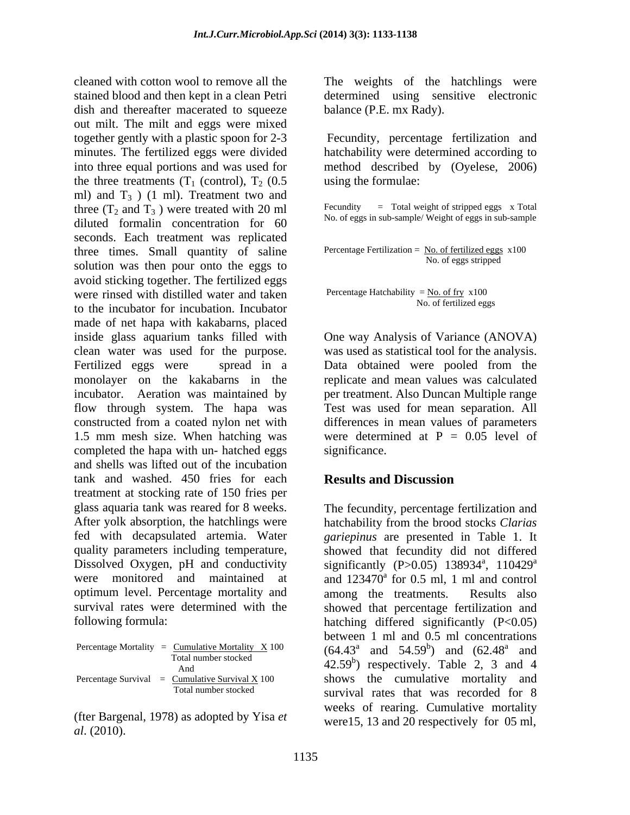stained blood and then kept in a clean Petri determined using sensitive electronic dish and thereafter macerated to squeeze out milt. The milt and eggs were mixed together gently with a plastic spoon for 2-3 Fecundity, percentage fertilization and minutes. The fertilized eggs were divided hatchability were determined according to into three equal portions and was used for method described by (Oyelese, 2006) the three treatments  $(T_1$  (control),  $T_2$  (0.5) ml) and  $T_3$  ) (1 ml). Treatment two and<br>three  $(T_2$  and  $T_3$ ) were treated with 20 ml three  $(T_2$  and  $T_3$ ) were treated with 20 ml diluted formalin concentration for 60 seconds. Each treatment was replicated three times. Small quantity of saline  $\frac{\text{Percentage Fertilization}}{\text{No. of eggs stripped}}$ solution was then pour onto the eggs to avoid sticking together. The fertilized eggs were rinsed with distilled water and taken to the incubator for incubation. Incubator made of net hapa with kakabarns, placed inside glass aquarium tanks filled with One way Analysis of Variance (ANOVA) clean water was used for the purpose. was used as statistical tool for the analysis. Fertilized eggs were spread in a Data obtained were pooled from the monolayer on the kakabarns in the incubator. Aeration was maintained by per treatment. Also Duncan Multiple range flow through system. The hapa was Test was used for mean separation. All constructed from a coated nylon net with 1.5 mm mesh size. When hatching was completed the hapa with un- hatched eggs significance. and shells was lifted out of the incubation tank and washed. 450 fries for each treatment at stocking rate of 150 fries per glass aquaria tank was reared for 8 weeks. The fecundity, percentage fertilization and After yolk absorption, the hatchlings were hatchability from the brood stocks *Clarias* fed with decapsulated artemia. Water *gariepinus* are presented in Table 1. It quality parameters including temperature, showed that fecundity did not differed Dissolved Oxygen, pH and conductivity significantly (P>0.05) 138934<sup>a</sup>, 110429<sup>a</sup> were monitored and maintained at and  $123470^{\circ}$  for 0.5 ml, 1 ml and control optimum level. Percentage mortality and among the treatments. Results also survival rates were determined with the showed that percentage fertilization and

Percentage Mortality = Cumulative Mortality X 100<br>Total number stocked

*al*. (2010).

cleaned with cotton wool to remove all the The weights of the hatchlings were balance (P.E. mx Rady).

> Fecundity, percentage fertilization and using the formulae:

 $=$  Total weight of stripped eggs  $\bar{x}$  Total No. of eggs in sub-sample/ Weight of eggs in sub-sample

Percentage Fertilization = No. of fertilized eggs  $x100$ No. of eggs stripped

Percentage Hatchability =  $No. of fry x100$ </u> No. of fertilized eggs

 One way Analysis of Variance (ANOVA) replicate and mean values was calculated differences in mean values of parameters were determined at  $P = 0.05$  level of significance.

## **Results and Discussion**

following formula: hatching differed significantly (P<0.05) Total number stocked  $\overrightarrow{AC} = \overrightarrow{CD}$  $\mu$  and  $\mu$  and  $\mu$  and  $\mu$  and  $\mu$  and  $\mu$  and  $\mu$  and  $\mu$  and  $\mu$  and  $\mu$  and  $\mu$  and  $\mu$  and  $\mu$  and  $\mu$  and  $\mu$  and  $\mu$  and  $\mu$  and  $\mu$  and  $\mu$  and  $\mu$  and  $\mu$  and  $\mu$  and  $\mu$  and  $\mu$  and  $\mu$  Percentage Survival =  $\frac{\text{Cumulative Survival X}}{100}$  shows the cumulative mortality and Total number stocked survival rates that was recorded for 8 (fter Bargenal, 1978) as adopted by Yisa *et*  weeks of rearing. Cumulative mortality  $, 110429$ <sup>a</sup> a and a structure of the structure of the structure of the structure of the structure of the structure of the structure of the structure of the structure of the structure of the structure of the structure of the structure for 0.5 ml, 1 ml and control among the treatments. Results also between 1 ml and 0.5 ml concentrations  $(64.43^a \text{ and } 54.59^b)$  and  $(62.48^a \text{ and } 64.43^c)$  $b_1$  and  $(62.48^a$  and ) and  $(62.48^a$  and and were15, 13 and 20 respectively for 05 ml,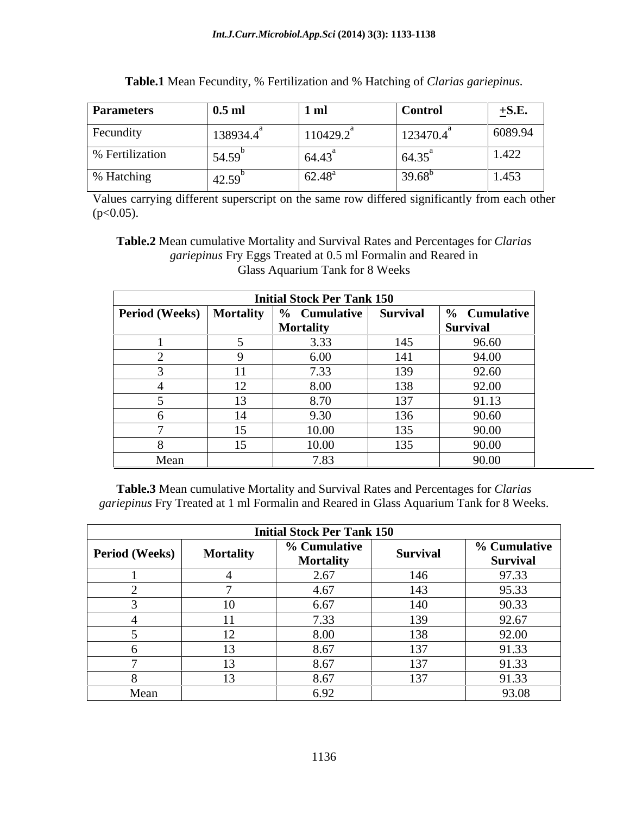| <b>Parameters</b> | 0.5 m                                  | 1 <sub>m1</sub>                    | <b>Control</b> | $\pm$ S.E.<br>- |
|-------------------|----------------------------------------|------------------------------------|----------------|-----------------|
| Fecundity         | 138934.4                               | 110429.2                           | 123470.4       | 6089.94         |
| % Fertilization   | 54.59                                  | 64.43                              | 64.35          | 1.422           |
| % Hatching        | $\sim$ $\sim$<br>$A'$ ) $\sim$<br>−∠.J | $\sim$<br>$\overline{10}$<br>02.48 | $39.68^t$      | 1.453           |

**Table.1** Mean Fecundity, % Fertilization and % Hatching of *Clarias gariepinus.*

Values carrying different superscript on the same row differed significantly from each other  $(p<0.05)$ .

**Table.2** Mean cumulative Mortality and Survival Rates and Percentages for *Clarias gariepinus* Fry Eggs Treated at 0.5 ml Formalin and Reared in Glass Aquarium Tank for 8 Weeks

|      |                 | <b>Initial Stock Per Tank 150</b>                         |       |                          |
|------|-----------------|-----------------------------------------------------------|-------|--------------------------|
|      |                 | <b>Period (Weeks)</b> Mortality   % Cumulative   Survival |       | $\frac{6}{6}$ Cumulative |
|      |                 | Mortality                                                 |       | Survival                 |
|      |                 |                                                           | 145   | 96.60                    |
|      |                 | 6.00                                                      | 141   | 94.00                    |
|      |                 | 722                                                       | 139   | 92.60                    |
|      |                 | 8.00                                                      | 138   | 92.00                    |
|      | $\overline{1}$  | 8.70                                                      | 137   | 91.13                    |
|      | $\overline{14}$ | 9.30                                                      | 136   | 90.60                    |
|      |                 | 10.00                                                     | 135   | 90.00                    |
|      |                 | 10.00<br>                                                 | 1 J J | 90.00                    |
| Mean |                 | 7.83                                                      |       | 90.00                    |

**Table.3** Mean cumulative Mortality and Survival Rates and Percentages for *Clarias gariepinus* Fry Treated at 1 ml Formalin and Reared in Glass Aquarium Tank for 8 Weeks.

|                       |                  | <b>Initial Stock Per Tank 150</b> |          |                          |
|-----------------------|------------------|-----------------------------------|----------|--------------------------|
| <b>Period</b> (Weeks) | <b>Mortality</b> | % Cumulative<br><b>Mortality</b>  | Survival | % Cumulative<br>Survival |
|                       |                  | 2.67                              | 146      | 97.33                    |
|                       |                  | 4.67                              | 143      | 95.33                    |
|                       |                  | 6.67                              | 140      | 90.33                    |
|                       |                  | 7.33                              | 139      | 92.67                    |
|                       |                  | 8.00                              | 138      | 92.00                    |
|                       |                  | 8.67                              | 137      | 91.33                    |
|                       |                  | 8.67                              | 137      | 91.33                    |
|                       |                  | 8.67                              | 137      | 91.33                    |
| Mean                  |                  | 6.92                              |          | 93.08                    |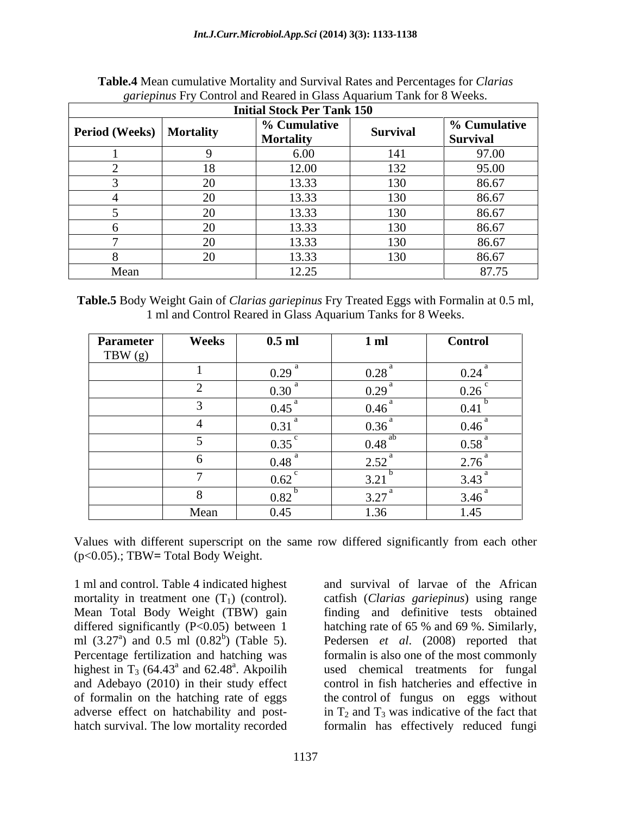|                                   |            | $\lambda$ and $\lambda$ is the state of the state of the state $\lambda$ is the state of $\lambda$ is the state of $\lambda$ |          |                                 |
|-----------------------------------|------------|------------------------------------------------------------------------------------------------------------------------------|----------|---------------------------------|
|                                   |            | <b>Initial Stock Per Tank 150</b>                                                                                            |          |                                 |
| <b>Period (Weeks)   Mortality</b> |            | % Cumulative<br><b>Mortality</b>                                                                                             | Survival | % Cumulative<br><b>Survival</b> |
|                                   |            | 6.00                                                                                                                         | 141      | 97.00                           |
|                                   |            | 12.00                                                                                                                        | 132      | 95.00                           |
|                                   | $\Delta$ c | 13.33                                                                                                                        | 130      | 86.67                           |
|                                   | ~^         | 13.33                                                                                                                        | 130      | 86.67                           |
|                                   | $\sim$     | 13.33                                                                                                                        | 130      | 86.67                           |
|                                   | $\sim$     | 13.33                                                                                                                        | 130      | 86.67                           |
|                                   | $\bigcap$  | 13.33                                                                                                                        | 130      | 86.67                           |
|                                   | $\bigcap$  | 13.33                                                                                                                        | 130      | 86.67                           |
| Mean                              |            | 12.25                                                                                                                        |          | 87.75                           |

**Table.4** Mean cumulative Mortality and Survival Rates and Percentages for *Clarias gariepinus* Fry Control and Reared in Glass Aquarium Tank for 8 Weeks.

| $\mathbf{r}$<br>1'able.<br>≀ Weıoht<br>-with Formal<br>tepinus<br>garie<br>Claria <sup>c</sup><br>$\alpha$ t U.5 mi,<br>--<br><b>BOC</b><br>$\cdot$ reated $\mathbf{L}$ .<br>$H \alpha \alpha \zeta$<br>Jain of<br>11 at<br>1 L |  |
|---------------------------------------------------------------------------------------------------------------------------------------------------------------------------------------------------------------------------------|--|
| Weeks<br>quarium<br>anks<br>`ontrol<br>Cilass<br>. Reared in <b>1</b><br>$+ \alpha r$<br>. and '<br>$V$ v $U_{\text{L}}$<br>--<br>. .                                                                                           |  |

| Parameter | Weeks | $0.5$ ml            | 1 <sub>m</sub> | <b>Control</b>   |
|-----------|-------|---------------------|----------------|------------------|
| TBW $(g)$ |       |                     |                |                  |
|           |       | $\sim$<br>0.29      | 0.28           | 0.24             |
|           |       | 0.30                | 0.29           | 0.26             |
|           |       | 0.45                | 0.46           | 0.41             |
|           |       | 0.31                | 0.36           | $0.46^{\degree}$ |
|           |       | 0.35                | 0.48           | 0.58             |
|           |       | $0.48$ <sup>a</sup> | 2.52           | 2.76             |
|           |       | 0.62                | 3.21           | 3.43             |
|           |       | 0.82                | 3.27           | $3.46^{\degree}$ |
|           | Mean  | 0.45                | 1.36           | 1.45             |

Values with different superscript on the same row differed significantly from each other (p<0.05).; TBW**=** Total Body Weight.

1 ml and control. Table 4 indicated highest mortality in treatment one (T<sub>1</sub>) (control). catfish (*Clarias gariepinus*) using range Mean Total Body Weight (TBW) gain finding and definitive tests obtained differed significantly (P<0.05) between 1 hatching rate of 65 % and 69 %. Similarly, ml  $(3.27<sup>a</sup>)$  and  $0.5$  ml  $(0.82<sup>b</sup>)$  (Table 5). Pedersen *et al.*  $(2008)$  reported that Percentage fertilization and hatching was highest in  $T_3$  (64.43<sup>ª</sup> and 62.48<sup>ª</sup>. Akpoilih and Adebayo (2010) in their study effect control in fish hatcheries and effective in of formalin on the hatching rate of eggs the control of fungus on eggs without adverse effect on hatchability and post- in  $T_2$  and  $T_3$  was indicative of the fact that hatch survival. The low mortality recorded

<sup>a</sup> and 62.48<sup>a</sup>. Akpoilih used chemical treatments for fungal and survival of larvae of the African formalin is also one of the most commonly formalin has effectively reduced fungi